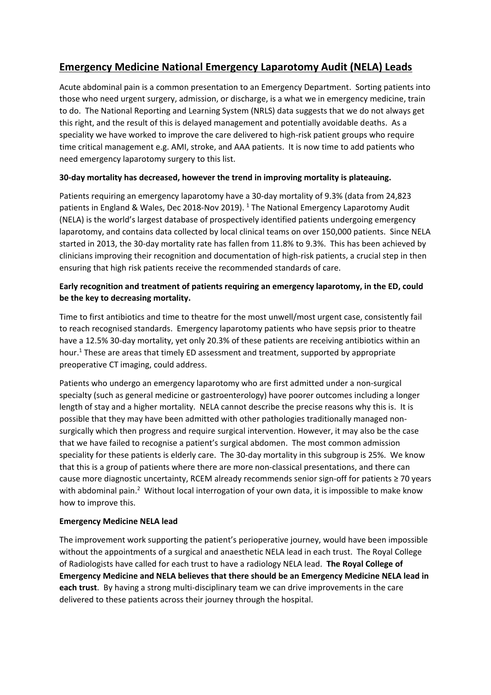## **Emergency Medicine National Emergency Laparotomy Audit (NELA) Leads**

Acute abdominal pain is a common presentation to an Emergency Department. Sorting patients into those who need urgent surgery, admission, or discharge, is a what we in emergency medicine, train to do. The National Reporting and Learning System (NRLS) data suggests that we do not always get this right, and the result of this is delayed management and potentially avoidable deaths. As a speciality we have worked to improve the care delivered to high-risk patient groups who require time critical management e.g. AMI, stroke, and AAA patients. It is now time to add patients who need emergency laparotomy surgery to this list.

## **30-day mortality has decreased, however the trend in improving mortality is plateauing.**

Patients requiring an emergency laparotomy have a 30-day mortality of 9.3% (data from 24,823 patients in England & Wales, Dec 2018-Nov 2019). <sup>1</sup> The National Emergency Laparotomy Audit (NELA) is the world's largest database of prospectively identified patients undergoing emergency laparotomy, and contains data collected by local clinical teams on over 150,000 patients. Since NELA started in 2013, the 30-day mortality rate has fallen from 11.8% to 9.3%. This has been achieved by clinicians improving their recognition and documentation of high-risk patients, a crucial step in then ensuring that high risk patients receive the recommended standards of care.

## **Early recognition and treatment of patients requiring an emergency laparotomy, in the ED, could be the key to decreasing mortality.**

Time to first antibiotics and time to theatre for the most unwell/most urgent case, consistently fail to reach recognised standards. Emergency laparotomy patients who have sepsis prior to theatre have a 12.5% 30-day mortality, yet only 20.3% of these patients are receiving antibiotics within an hour.<sup>1</sup> These are areas that timely ED assessment and treatment, supported by appropriate preoperative CT imaging, could address.

Patients who undergo an emergency laparotomy who are first admitted under a non-surgical specialty (such as general medicine or gastroenterology) have poorer outcomes including a longer length of stay and a higher mortality. NELA cannot describe the precise reasons why this is. It is possible that they may have been admitted with other pathologies traditionally managed nonsurgically which then progress and require surgical intervention. However, it may also be the case that we have failed to recognise a patient's surgical abdomen. The most common admission speciality for these patients is elderly care. The 30-day mortality in this subgroup is 25%. We know that this is a group of patients where there are more non-classical presentations, and there can cause more diagnostic uncertainty, RCEM already recommends senior sign-off for patients ≥ 70 years with abdominal pain.<sup>2</sup> Without local interrogation of your own data, it is impossible to make know how to improve this.

## **Emergency Medicine NELA lead**

The improvement work supporting the patient's perioperative journey, would have been impossible without the appointments of a surgical and anaesthetic NELA lead in each trust. The Royal College of Radiologists have called for each trust to have a radiology NELA lead. **The Royal College of Emergency Medicine and NELA believes that there should be an Emergency Medicine NELA lead in each trust**. By having a strong multi-disciplinary team we can drive improvements in the care delivered to these patients across their journey through the hospital.